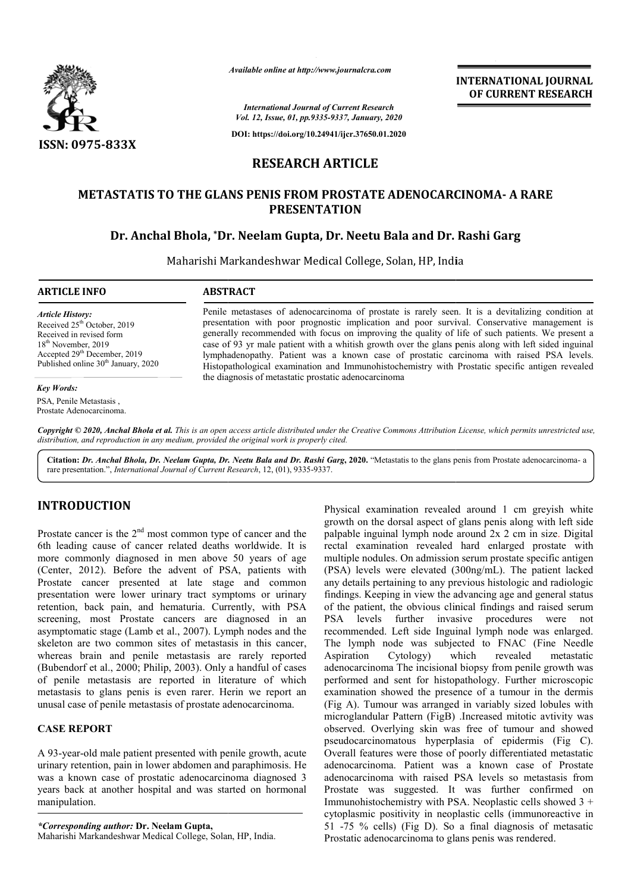

*Available online at http://www.journalcra.com*

**INTERNATIONAL JOURNAL OF CURRENT RESEARCH**

*International Journal of Current Research Vol. 12, Issue, 01, pp.9335-9337, January, 2020*

**DOI: https://doi.org/10.24941/ijcr.37650.01.2020**

# **RESEARCH ARTICLE**

# **METASTATIS TO THE GLANS PENIS FROM PROSTATE ADEN ADENOCARCINOMA OCARCINOMA- A RARE PRESENTATION**

# **Dr. Anchal Bhola, \*Dr. Neelam Gupta, Dr. Neetu Bala and Dr. Rashi Garg**

Maharishi Markandeshwar Medical College, Solan, HP, India

#### **ARTICLE INFO ABSTRACT**

*Article History:* Received  $25<sup>th</sup>$  October, 2019 Received in revised form 18<sup>th</sup> November, 2019 Accepted 29<sup>th</sup> December, 2019 Published online 30<sup>th</sup> January, 2020

#### *Key Words:*

PSA, Penile Metastasis , Prostate Adenocarcinoma. Penile metastases of adenocarcinoma of prostate is rarely seen. It is a devitalizing condition at presentation with poor prognostic implication and poor survival. Conservative management is generally recommended with focus on improving the quality of life of such patients. We present a case of 93 yr male patient with a whitish growth over the glans penis along with left sided inguinal Penile metastases of adenocarcinoma of prostate is rarely seen. It is a devitalizing condition at presentation with poor prognostic implication and poor survival. Conservative management is generally recommended with focus Histopathological examination and Immunohistochemistry with Prostatic specific antigen revealed Histopathological the diagnosis of metastatic prostatic adenocarcinoma

Copyright © 2020, Anchal Bhola et al. This is an open access article distributed under the Creative Commons Attribution License, which permits unrestricted use, *distribution, and reproduction in any medium, provided the original work is properly cited.*

Citation: Dr. Anchal Bhola, Dr. Neelam Gupta, Dr. Neetu Bala and Dr. Rashi Garg, 2020. "Metastatis to the glans penis from Prostate adenocarcinoma- a rare presentation.", *International Journal of Current Research* , 12, (01), 9335-9337.

# **INTRODUCTION**

Prostate cancer is the  $2<sup>nd</sup>$  most common type of cancer and the 6th leading cause of cancer related deaths worldwide. It is more commonly diagnosed in men above 50 years of age (Center, 2012). Before the advent of PSA, patients with . Prostate cancer presented at late stage and common presentation were lower urinary tract symptoms or urinary retention, back pain, and hematuria. Currently, with PSA screening, most Prostate cancers are diagnosed in an asymptomatic stage (Lamb et al., 2007). Lymph nodes and the skeleton are two common sites of metastasis in this cancer, whereas brain and penile metastasis are rarely reported (Bubendorf et al., 2000; Philip, 2003). Only a handful of cases of penile metastasis are reported in literature of which metastasis to glans penis is even rarer. Herin we report an unusal case of penile metastasis of prostate adenocarcinoma amb et al., 2007). Lymph nodes and<br>mon sites of metastasis in this cance<br>penile metastasis are rarely repor<br>0; Philip, 2003). Only a handful of ca<br>are reported in literature of wh<br>enis is even rarer. Herin we report<br>netast

## **CASE REPORT**

A 93-year-old male patient presented with penile growth, acute urinary retention, pain in lower abdomen and paraphimosis. He was a known case of prostatic adenocarcinoma diagnosed 3 years back at another hospital and was started on hormonal manipulation. old male patient presented with penile growth<br>ention, pain in lower abdomen and paraphime<br>wn case of prostatic adenocarcinoma diagre<br>at another hospital and was started on ho<br>on.<br>*ding author*: Dr. Neelam Gupta,<br>farkandesh

*\*Corresponding author:* **Dr. Neelam Gupta,** Maharishi Markandeshwar Medical College, Solan, HP, India Physical examination revealed around 1 cm greyish white growth on the dorsal aspect of glans penis along with left side palpable inguinal lymph node around 2x 2 cm in size. Digital rectal examination revealed hard enlarged prostate with multiple nodules. On admission serum prostate specific antigen (PSA) levels were elevated (300ng/mL). The patient lacked any details pertaining to any previous histologic and radiologic findings. Keeping in view the advancing age and general status of the patient, the obvious clinical findings and raised serum PSA levels further invasive procedures were not recommended. Left side Inguinal lymph node was enlarged. The lymph node was subjected to FNAC (Fine Needle Aspiration Cytology) which revealed metastatic adenocarcinoma The incisional biopsy from penile growth was performed and sent for histopathology. Further microscopic examination showed the presence of a tumour in the dermis (Fig A). Tumour was arranged in variably sized lobules with (Fig A). Tumour was arranged in variably sized lobules with microglandular Pattern (FigB) .Increased mitotic avtivity was observed. Overlying skin was free of tumour and showed observed. Overlying skin was free of tumour and showed pseudocarcinomatous hyperplasia of epidermis (Fig C). Overall features were those of poorly differentiated metastatic adenocarcinoma. Patient was a known case of Prostate adenocarcinoma with raised PSA levels so metastasis from Prostate was suggested. It was further confirmed on Immunohistochemistry with PSA. Neoplastic cells showed 3 + cytoplasmic positivity in neoplastic cells ( 51 -75 % cells) (Fig D). So a final diagnosis of metasatic Prostatic adenocarcinoma to glans penis was rendered. Physical examination revealed around 1 cm greyish white growth on the dorsal aspect of glans penis along with left side palpable inguinal lymph node around  $2x$  2 cm in size. Digital rectal examination revealed hard enlarged prostate with<br>multiple nodules. On admission serum prostate specific antigen<br>(PSA) levels were elevated (300ng/mL). The patient lacked the obvious clinical findings and raised serum<br>further invasive procedures were not<br>Left side Inguinal lymph node was enlarged.<br>Jode was subjected to FNAC (Fine Needle Cytology) which revealed metastatic<br>noma The incisional biopsy from penile growth was<br>and sent for histopathology. Further microscopic<br>n showed the presence of a tumour in the dermis atures were those of poorly differentiated metastatic<br>inoma. Patient was a known case of Prostate<br>inoma with raised PSA levels so metastasis from<br>was suggested. It was further confirmed on<br>stochemistry with PSA. Neoplastic INTERNATIONAL JOURNAL<br>
Sexament Context Context Context Context Context Context Context Context Context Context Context Context Context Context Context Context Context Context Context Context Context Context Context Contex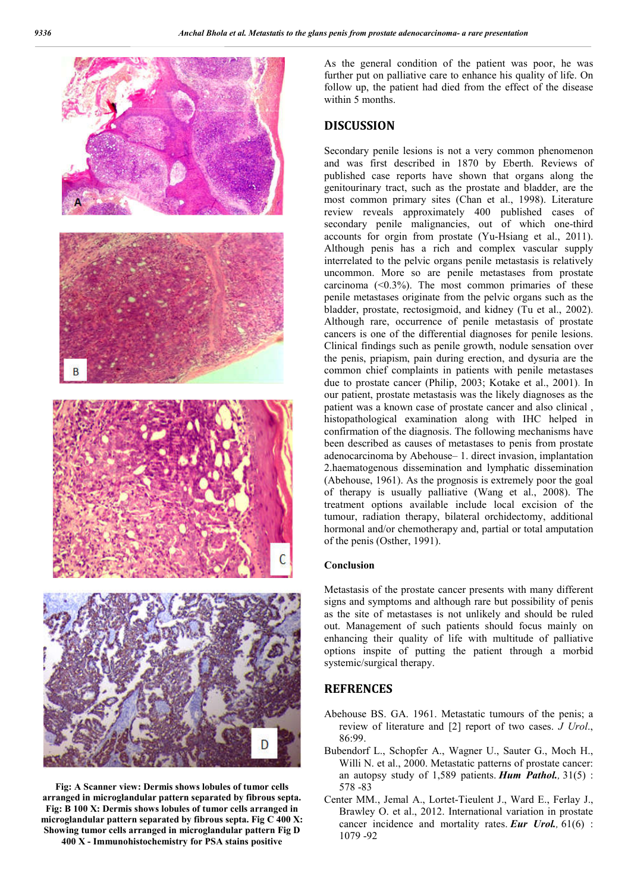

**Fig: A Scanner view: Dermis shows lobules of tumor cells arranged in microglandular pattern separated by fibrous septa. Fig: B 100 X: Dermis shows lobules of tumor cells arranged in microglandular pattern separated by fibrous septa. Fig C 400 X: Showing tumor cells arranged in microglandular pattern Fig D 400 X - Immunohistochemistry for PSA stains positive**

As the general condition of the patient was poor, he was further put on palliative care to enhance his quality of life. On follow up, the patient had died from the effect of the disease within 5 months.

### **DISCUSSION**

Secondary penile lesions is not a very common phenomenon and was first described in 1870 by Eberth. Reviews of published case reports have shown that organs along the genitourinary tract, such as the prostate and bladder, are the most common primary sites (Chan et al., 1998). Literature review reveals approximately 400 published cases of secondary penile malignancies, out of which one-third accounts for orgin from prostate (Yu-Hsiang et al., 2011). Although penis has a rich and complex vascular supply interrelated to the pelvic organs penile metastasis is relatively uncommon. More so are penile metastases from prostate carcinoma  $\left($  < 0.3%). The most common primaries of these penile metastases originate from the pelvic organs such as the bladder, prostate, rectosigmoid, and kidney (Tu et al., 2002). Although rare, occurrence of penile metastasis of prostate cancers is one of the differential diagnoses for penile lesions. Clinical findings such as penile growth, nodule sensation over the penis, priapism, pain during erection, and dysuria are the common chief complaints in patients with penile metastases due to prostate cancer (Philip, 2003; Kotake et al., 2001). In our patient, prostate metastasis was the likely diagnoses as the patient was a known case of prostate cancer and also clinical , histopathological examination along with IHC helped in confirmation of the diagnosis. The following mechanisms have been described as causes of metastases to penis from prostate adenocarcinoma by Abehouse– 1. direct invasion, implantation 2.haematogenous dissemination and lymphatic dissemination (Abehouse, 1961). As the prognosis is extremely poor the goal of therapy is usually palliative (Wang et al., 2008). The treatment options available include local excision of the tumour, radiation therapy, bilateral orchidectomy, additional hormonal and/or chemotherapy and, partial or total amputation of the penis (Osther, 1991).

#### **Conclusion**

Metastasis of the prostate cancer presents with many different signs and symptoms and although rare but possibility of penis as the site of metastases is not unlikely and should be ruled out. Management of such patients should focus mainly on enhancing their quality of life with multitude of palliative options inspite of putting the patient through a morbid systemic/surgical therapy.

## **REFRENCES**

- Abehouse BS. GA. 1961. Metastatic tumours of the penis; a review of literature and [2] report of two cases. *J Urol*., 86:99.
- Bubendorf L., Schopfer A., Wagner U., Sauter G., Moch H., Willi N. et al., 2000. Metastatic patterns of prostate cancer: an autopsy study of 1,589 patients. *Hum Pathol.,* 31(5) : 578 -83
- Center MM., Jemal A., Lortet-Tieulent J., Ward E., Ferlay J., Brawley O. et al., 2012. International variation in prostate cancer incidence and mortality rates. *Eur Urol.,* 61(6) : 1079 -92